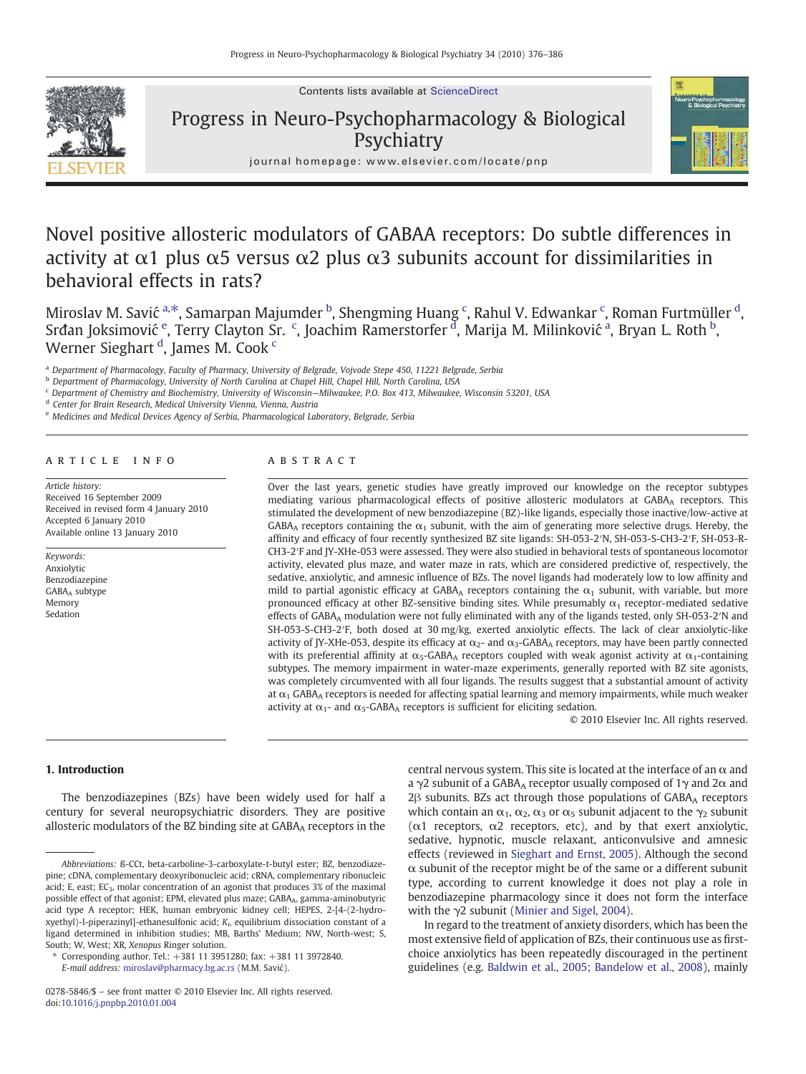Contents lists available at ScienceDirect



Progress in Neuro-Psychopharmacology & Biological **Psychiatry** 



 $j$  or existing the p and  $j$  evidence  $j$  and  $j$  evidence  $j$  and  $j$  and  $j$  and  $j$  and  $j$  and  $j$  and  $j$  and  $j$  and  $j$  and  $j$  and  $j$  and  $j$  and  $j$  and  $j$  and  $j$  and  $j$  and  $j$  and  $j$  and  $j$  and  $j$  and

# Novel positive allosteric modulators of GABAA receptors: Do subtle differences in activity at  $\alpha$ 1 plus  $\alpha$ 5 versus  $\alpha$ 2 plus  $\alpha$ 3 subunits account for dissimilarities in behavioral effects in rats?

Miroslav M. Savić <sup>a,\*</sup>, Samarpan Majumder <sup>b</sup>, Shengming Huang <sup>c</sup>, Rahul V. Edwankar <sup>c</sup>, Roman Furtmüller <sup>d</sup>, Srđan Joksimović <sup>e</sup>, Terry Clayton Sr. <sup>c</sup>, Joachim Ramerstorfer <sup>d</sup>, Marija M. Milinković <sup>a</sup>, Bryan L. Roth <sup>b</sup>, Werner Sieghart <sup>d</sup>, James M. Cook <sup>c</sup>

<sup>a</sup> Department of Pharmacology, Faculty of Pharmacy, University of Belgrade, Vojvode Stepe 450, 11221 Belgrade, Serbia

<sup>b</sup> Department of Pharmacology, University of North Carolina at Chapel Hill, Chapel Hill, North Carolina, USA

<sup>c</sup> Department of Chemistry and Biochemistry, University of Wisconsin—Milwaukee, P.O. Box 413, Milwaukee, Wisconsin 53201, USA

<sup>d</sup> Center for Brain Research, Medical University Vienna, Vienna, Austria

<sup>e</sup> Medicines and Medical Devices Agency of Serbia, Pharmacological Laboratory, Belgrade, Serbia

#### article info abstract

Article history: Received 16 September 2009 Received in revised form 4 January 2010 Accepted 6 January 2010 Available online 13 January 2010

Keywords: Anxiolytic Benzodiazepine GABAA subtype Memory Sedation

Over the last years, genetic studies have greatly improved our knowledge on the receptor subtypes mediating various pharmacological effects of positive allosteric modulators at GABAA receptors. This stimulated the development of new benzodiazepine (BZ)-like ligands, especially those inactive/low-active at  $GABA_A$  receptors containing the  $\alpha_1$  subunit, with the aim of generating more selective drugs. Hereby, the affinity and efficacy of four recently synthesized BZ site ligands: SH-053-2′N, SH-053-S-CH3-2′F, SH-053-R-CH3-2′F and JY-XHe-053 were assessed. They were also studied in behavioral tests of spontaneous locomotor activity, elevated plus maze, and water maze in rats, which are considered predictive of, respectively, the sedative, anxiolytic, and amnesic influence of BZs. The novel ligands had moderately low to low affinity and mild to partial agonistic efficacy at GABA<sub>A</sub> receptors containing the  $\alpha_1$  subunit, with variable, but more pronounced efficacy at other BZ-sensitive binding sites. While presumably  $\alpha_1$  receptor-mediated sedative effects of GABAA modulation were not fully eliminated with any of the ligands tested, only SH-053-2′N and SH-053-S-CH3-2′F, both dosed at 30 mg/kg, exerted anxiolytic effects. The lack of clear anxiolytic-like activity of JY-XHe-053, despite its efficacy at  $\alpha_2$ - and  $\alpha_3$ -GABA<sub>A</sub> receptors, may have been partly connected with its preferential affinity at  $\alpha_5$ -GABA<sub>A</sub> receptors coupled with weak agonist activity at  $\alpha_1$ -containing subtypes. The memory impairment in water-maze experiments, generally reported with BZ site agonists, was completely circumvented with all four ligands. The results suggest that a substantial amount of activity at  $\alpha_1$  GABA<sub>A</sub> receptors is needed for affecting spatial learning and memory impairments, while much weaker activity at  $\alpha_1$ - and  $\alpha_5$ -GABA<sub>A</sub> receptors is sufficient for eliciting sedation.

© 2010 Elsevier Inc. All rights reserved.

# 1. Introduction

The benzodiazepines (BZs) have been widely used for half a century for several neuropsychiatric disorders. They are positive allosteric modulators of the BZ binding site at GABAA receptors in the

E-mail address: [miroslav@pharmacy.bg.ac.rs](mailto:miroslav@pharmacy.bg.ac.rs) (M.M. Savić).

central nervous system. This site is located at the interface of an  $\alpha$  and a  $\gamma$ 2 subunit of a GABA<sub>A</sub> receptor usually composed of 1 $\gamma$  and 2α and 2β subunits. BZs act through those populations of GABA<sub>A</sub> receptors which contain an  $\alpha_1$ ,  $\alpha_2$ ,  $\alpha_3$  or  $\alpha_5$  subunit adjacent to the  $\gamma_2$  subunit ( $\alpha$ 1 receptors,  $\alpha$ 2 receptors, etc), and by that exert anxiolytic, sedative, hypnotic, muscle relaxant, anticonvulsive and amnesic effects (reviewed in [Sieghart and Ernst, 2005\)](#page-10-0). Although the second  $\alpha$  subunit of the receptor might be of the same or a different subunit type, according to current knowledge it does not play a role in benzodiazepine pharmacology since it does not form the interface with the γ2 subunit ([Minier and Sigel, 2004\)](#page-10-0).

In regard to the treatment of anxiety disorders, which has been the most extensive field of application of BZs, their continuous use as firstchoice anxiolytics has been repeatedly discouraged in the pertinent guidelines (e.g. [Baldwin et al., 2005; Bandelow et al., 2008](#page-10-0)), mainly

Abbreviations: ß-CCt, beta-carboline-3-carboxylate-t-butyl ester; BZ, benzodiazepine; cDNA, complementary deoxyribonucleic acid; cRNA, complementary ribonucleic acid; E, east; EC<sub>3</sub>, molar concentration of an agonist that produces  $3\%$  of the maximal possible effect of that agonist; EPM, elevated plus maze; GABA<sub>A</sub>, gamma-aminobutyric acid type A receptor; HEK, human embryonic kidney cell; HEPES, 2-[4-(2-hydroxyethyl)-l-piperazinyl]-ethanesulfonic acid;  $K_i$ , equilibrium dissociation constant of a ligand determined in inhibition studies; MB, Barths' Medium; NW, North-west; S, South; W, West; XR, Xenopus Ringer solution.

<sup>⁎</sup> Corresponding author. Tel.: +381 11 3951280; fax: +381 11 3972840.

<sup>0278-5846/\$</sup> – see front matter © 2010 Elsevier Inc. All rights reserved. doi[:10.1016/j.pnpbp.2010.01.004](http://dx.doi.org/10.1016/j.pnpbp.2010.01.004)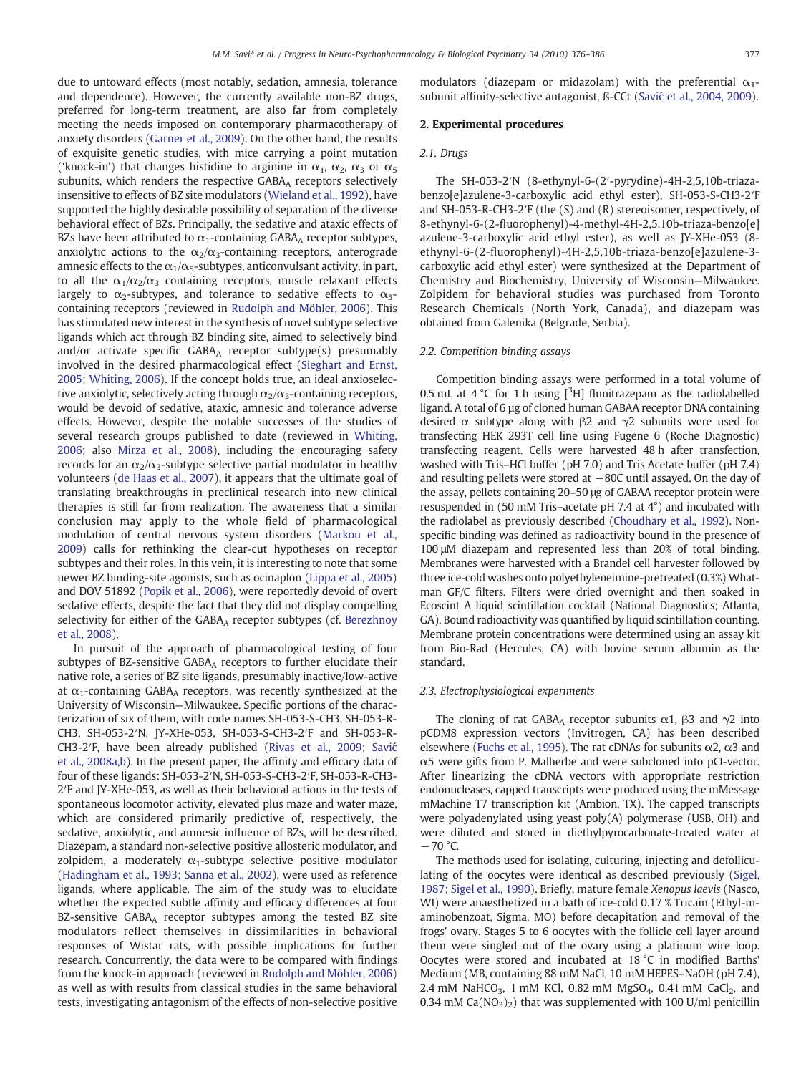due to untoward effects (most notably, sedation, amnesia, tolerance and dependence). However, the currently available non-BZ drugs, preferred for long-term treatment, are also far from completely meeting the needs imposed on contemporary pharmacotherapy of anxiety disorders ([Garner et al., 2009\)](#page-10-0). On the other hand, the results of exquisite genetic studies, with mice carrying a point mutation ('knock-in') that changes histidine to arginine in  $\alpha_1$ ,  $\alpha_2$ ,  $\alpha_3$  or  $\alpha_5$ subunits, which renders the respective GABAA receptors selectively insensitive to effects of BZ site modulators [\(Wieland et al., 1992](#page-10-0)), have supported the highly desirable possibility of separation of the diverse behavioral effect of BZs. Principally, the sedative and ataxic effects of BZs have been attributed to  $\alpha_1$ -containing GABA<sub>A</sub> receptor subtypes, anxiolytic actions to the  $\alpha_2/\alpha_3$ -containing receptors, anterograde amnesic effects to the  $\alpha_1/\alpha_5$ -subtypes, anticonvulsant activity, in part, to all the  $\alpha_1/\alpha_2/\alpha_3$  containing receptors, muscle relaxant effects largely to  $\alpha_2$ -subtypes, and tolerance to sedative effects to  $\alpha_5$ containing receptors (reviewed in [Rudolph and Möhler, 2006](#page-10-0)). This has stimulated new interest in the synthesis of novel subtype selective ligands which act through BZ binding site, aimed to selectively bind and/or activate specific GABAA receptor subtype(s) presumably involved in the desired pharmacological effect ([Sieghart and Ernst,](#page-10-0) [2005; Whiting, 2006](#page-10-0)). If the concept holds true, an ideal anxioselective anxiolytic, selectively acting through  $\alpha_2/\alpha_3$ -containing receptors, would be devoid of sedative, ataxic, amnesic and tolerance adverse effects. However, despite the notable successes of the studies of several research groups published to date (reviewed in [Whiting,](#page-10-0) [2006;](#page-10-0) also [Mirza et al., 2008](#page-10-0)), including the encouraging safety records for an  $\alpha_2/\alpha_3$ -subtype selective partial modulator in healthy volunteers [\(de Haas et al., 2007](#page-10-0)), it appears that the ultimate goal of translating breakthroughs in preclinical research into new clinical therapies is still far from realization. The awareness that a similar conclusion may apply to the whole field of pharmacological modulation of central nervous system disorders [\(Markou et al.,](#page-10-0) [2009\)](#page-10-0) calls for rethinking the clear-cut hypotheses on receptor subtypes and their roles. In this vein, it is interesting to note that some newer BZ binding-site agonists, such as ocinaplon ([Lippa et al., 2005](#page-10-0)) and DOV 51892 [\(Popik et al., 2006\)](#page-10-0), were reportedly devoid of overt sedative effects, despite the fact that they did not display compelling selectivity for either of the GABAA receptor subtypes (cf. [Berezhnoy](#page-10-0) [et al., 2008\)](#page-10-0).

In pursuit of the approach of pharmacological testing of four subtypes of BZ-sensitive GABAA receptors to further elucidate their native role, a series of BZ site ligands, presumably inactive/low-active at  $\alpha_1$ -containing GABA<sub>A</sub> receptors, was recently synthesized at the University of Wisconsin—Milwaukee. Specific portions of the characterization of six of them, with code names SH-053-S-CH3, SH-053-R-CH3, SH-053-2′N, JY-XHe-053, SH-053-S-CH3-2′F and SH-053-R-CH3-2′F, have been already published ([Rivas et al., 2009; Savi](#page-10-0)ć [et al., 2008a,b](#page-10-0)). In the present paper, the affinity and efficacy data of four of these ligands: SH-053-2′N, SH-053-S-CH3-2′F, SH-053-R-CH3- 2′F and JY-XHe-053, as well as their behavioral actions in the tests of spontaneous locomotor activity, elevated plus maze and water maze, which are considered primarily predictive of, respectively, the sedative, anxiolytic, and amnesic influence of BZs, will be described. Diazepam, a standard non-selective positive allosteric modulator, and zolpidem, a moderately  $\alpha_1$ -subtype selective positive modulator [\(Hadingham et al., 1993; Sanna et al., 2002](#page-10-0)), were used as reference ligands, where applicable. The aim of the study was to elucidate whether the expected subtle affinity and efficacy differences at four BZ-sensitive GABA<sub>A</sub> receptor subtypes among the tested BZ site modulators reflect themselves in dissimilarities in behavioral responses of Wistar rats, with possible implications for further research. Concurrently, the data were to be compared with findings from the knock-in approach (reviewed in [Rudolph and Möhler, 2006](#page-10-0)) as well as with results from classical studies in the same behavioral tests, investigating antagonism of the effects of non-selective positive modulators (diazepam or midazolam) with the preferential  $\alpha_1$ subunit affinity-selective antagonist, ß-CCt (Savić [et al., 2004, 2009\)](#page-10-0).

### 2. Experimental procedures

# 2.1. Drugs

The SH-053-2′N (8-ethynyl-6-(2′-pyrydine)-4H-2,5,10b-triazabenzo[e]azulene-3-carboxylic acid ethyl ester), SH-053-S-CH3-2′F and SH-053-R-CH3-2′F (the (S) and (R) stereoisomer, respectively, of 8-ethynyl-6-(2-fluorophenyl)-4-methyl-4H-2,5,10b-triaza-benzo[e] azulene-3-carboxylic acid ethyl ester), as well as JY-XHe-053 (8 ethynyl-6-(2-fluorophenyl)-4H-2,5,10b-triaza-benzo[e]azulene-3 carboxylic acid ethyl ester) were synthesized at the Department of Chemistry and Biochemistry, University of Wisconsin—Milwaukee. Zolpidem for behavioral studies was purchased from Toronto Research Chemicals (North York, Canada), and diazepam was obtained from Galenika (Belgrade, Serbia).

#### 2.2. Competition binding assays

Competition binding assays were performed in a total volume of 0.5 mL at  $4^{\circ}$ C for 1 h using  $[{}^{3}H]$  flunitrazepam as the radiolabelled ligand. A total of 6 µg of cloned human GABAA receptor DNA containing desired  $\alpha$  subtype along with  $\beta$ 2 and  $\gamma$ 2 subunits were used for transfecting HEK 293T cell line using Fugene 6 (Roche Diagnostic) transfecting reagent. Cells were harvested 48 h after transfection, washed with Tris–HCl buffer (pH 7.0) and Tris Acetate buffer (pH 7.4) and resulting pellets were stored at −80C until assayed. On the day of the assay, pellets containing 20–50 μg of GABAA receptor protein were resuspended in (50 mM Tris–acetate pH 7.4 at 4°) and incubated with the radiolabel as previously described ([Choudhary et al., 1992\)](#page-10-0). Nonspecific binding was defined as radioactivity bound in the presence of 100 μM diazepam and represented less than 20% of total binding. Membranes were harvested with a Brandel cell harvester followed by three ice-cold washes onto polyethyleneimine-pretreated (0.3%) Whatman GF/C filters. Filters were dried overnight and then soaked in Ecoscint A liquid scintillation cocktail (National Diagnostics; Atlanta, GA). Bound radioactivity was quantified by liquid scintillation counting. Membrane protein concentrations were determined using an assay kit from Bio-Rad (Hercules, CA) with bovine serum albumin as the standard.

## 2.3. Electrophysiological experiments

The cloning of rat GABA<sub>A</sub> receptor subunits  $\alpha$ 1,  $\beta$ 3 and  $\gamma$ 2 into pCDM8 expression vectors (Invitrogen, CA) has been described elsewhere ([Fuchs et al., 1995\)](#page-10-0). The rat cDNAs for subunits  $α2$ ,  $α3$  and α5 were gifts from P. Malherbe and were subcloned into pCI-vector. After linearizing the cDNA vectors with appropriate restriction endonucleases, capped transcripts were produced using the mMessage mMachine T7 transcription kit (Ambion, TX). The capped transcripts were polyadenylated using yeast poly(A) polymerase (USB, OH) and were diluted and stored in diethylpyrocarbonate-treated water at  $-70$  °C.

The methods used for isolating, culturing, injecting and defolliculating of the oocytes were identical as described previously [\(Sigel,](#page-10-0) [1987; Sigel et al., 1990\)](#page-10-0). Briefly, mature female Xenopus laevis (Nasco, WI) were anaesthetized in a bath of ice-cold 0.17 % Tricain (Ethyl-maminobenzoat, Sigma, MO) before decapitation and removal of the frogs' ovary. Stages 5 to 6 oocytes with the follicle cell layer around them were singled out of the ovary using a platinum wire loop. Oocytes were stored and incubated at 18 °C in modified Barths' Medium (MB, containing 88 mM NaCl, 10 mM HEPES–NaOH (pH 7.4), 2.4 mM NaHCO<sub>3</sub>, 1 mM KCl, 0.82 mM MgSO<sub>4</sub>, 0.41 mM CaCl<sub>2</sub>, and 0.34 mM Ca( $NO_3$ )<sub>2</sub>) that was supplemented with 100 U/ml penicillin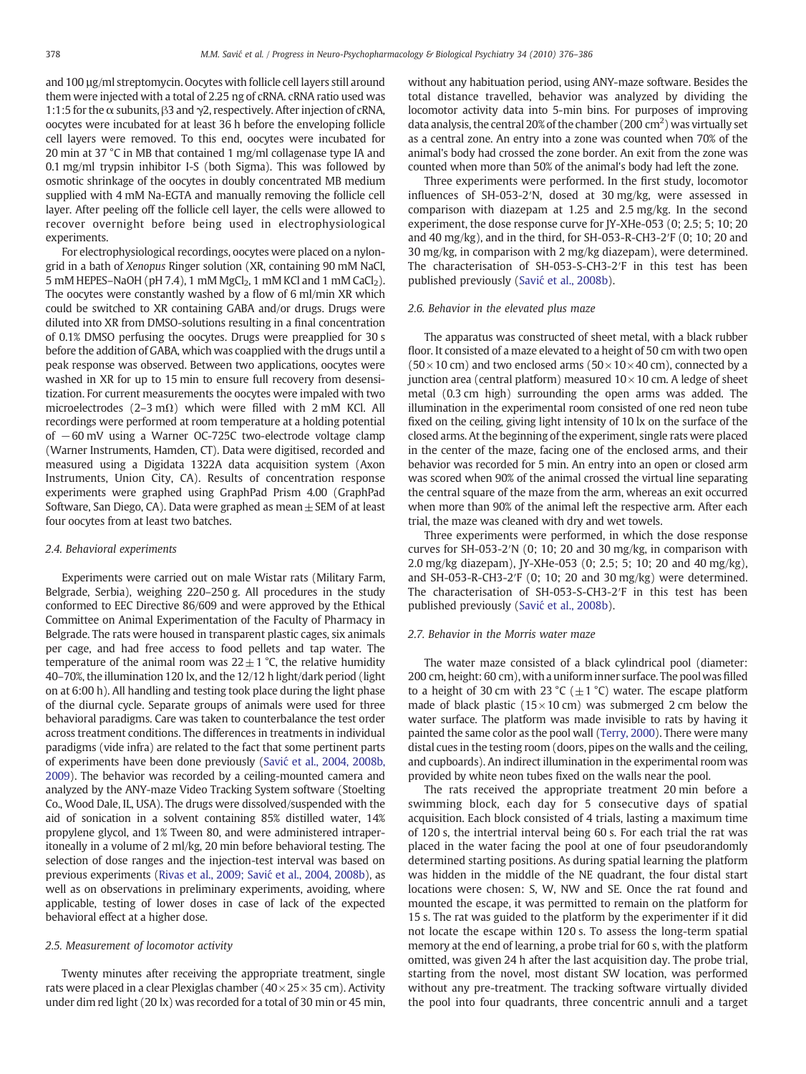and 100 µg/ml streptomycin. Oocytes with follicle cell layers still around them were injected with a total of 2.25 ng of cRNA. cRNA ratio used was 1:1:5 for the  $\alpha$  subunits,  $\beta$ 3 and  $\gamma$ 2, respectively. After injection of cRNA, oocytes were incubated for at least 36 h before the enveloping follicle cell layers were removed. To this end, oocytes were incubated for 20 min at 37 °C in MB that contained 1 mg/ml collagenase type IA and 0.1 mg/ml trypsin inhibitor I-S (both Sigma). This was followed by osmotic shrinkage of the oocytes in doubly concentrated MB medium supplied with 4 mM Na-EGTA and manually removing the follicle cell layer. After peeling off the follicle cell layer, the cells were allowed to recover overnight before being used in electrophysiological experiments.

For electrophysiological recordings, oocytes were placed on a nylongrid in a bath of Xenopus Ringer solution (XR, containing 90 mM NaCl, 5 mM HEPES–NaOH (pH 7.4), 1 mM MgCl<sub>2</sub>, 1 mM KCl and 1 mM CaCl<sub>2</sub>). The oocytes were constantly washed by a flow of 6 ml/min XR which could be switched to XR containing GABA and/or drugs. Drugs were diluted into XR from DMSO-solutions resulting in a final concentration of 0.1% DMSO perfusing the oocytes. Drugs were preapplied for 30 s before the addition of GABA, which was coapplied with the drugs until a peak response was observed. Between two applications, oocytes were washed in XR for up to 15 min to ensure full recovery from desensitization. For current measurements the oocytes were impaled with two microelectrodes (2–3 m $\Omega$ ) which were filled with 2 mM KCl. All recordings were performed at room temperature at a holding potential of −60 mV using a Warner OC-725C two-electrode voltage clamp (Warner Instruments, Hamden, CT). Data were digitised, recorded and measured using a Digidata 1322A data acquisition system (Axon Instruments, Union City, CA). Results of concentration response experiments were graphed using GraphPad Prism 4.00 (GraphPad Software, San Diego, CA). Data were graphed as mean  $\pm$  SEM of at least four oocytes from at least two batches.

#### 2.4. Behavioral experiments

Experiments were carried out on male Wistar rats (Military Farm, Belgrade, Serbia), weighing 220–250 g. All procedures in the study conformed to EEC Directive 86/609 and were approved by the Ethical Committee on Animal Experimentation of the Faculty of Pharmacy in Belgrade. The rats were housed in transparent plastic cages, six animals per cage, and had free access to food pellets and tap water. The temperature of the animal room was  $22 \pm 1$  °C, the relative humidity 40–70%, the illumination 120 lx, and the 12/12 h light/dark period (light on at 6:00 h). All handling and testing took place during the light phase of the diurnal cycle. Separate groups of animals were used for three behavioral paradigms. Care was taken to counterbalance the test order across treatment conditions. The differences in treatments in individual paradigms (vide infra) are related to the fact that some pertinent parts of experiments have been done previously (Savić [et al., 2004, 2008b,](#page-10-0) [2009\)](#page-10-0). The behavior was recorded by a ceiling-mounted camera and analyzed by the ANY-maze Video Tracking System software (Stoelting Co., Wood Dale, IL, USA). The drugs were dissolved/suspended with the aid of sonication in a solvent containing 85% distilled water, 14% propylene glycol, and 1% Tween 80, and were administered intraperitoneally in a volume of 2 ml/kg, 20 min before behavioral testing. The selection of dose ranges and the injection-test interval was based on previous experiments [\(Rivas et al., 2009; Savi](#page-10-0)ć et al., 2004, 2008b), as well as on observations in preliminary experiments, avoiding, where applicable, testing of lower doses in case of lack of the expected behavioral effect at a higher dose.

# 2.5. Measurement of locomotor activity

Twenty minutes after receiving the appropriate treatment, single rats were placed in a clear Plexiglas chamber  $(40 \times 25 \times 35$  cm). Activity under dim red light (20 lx) was recorded for a total of 30 min or 45 min, without any habituation period, using ANY-maze software. Besides the total distance travelled, behavior was analyzed by dividing the locomotor activity data into 5-min bins. For purposes of improving data analysis, the central 20% of the chamber (200 cm<sup>2</sup>) was virtually set as a central zone. An entry into a zone was counted when 70% of the animal's body had crossed the zone border. An exit from the zone was counted when more than 50% of the animal's body had left the zone.

Three experiments were performed. In the first study, locomotor influences of SH-053-2′N, dosed at 30 mg/kg, were assessed in comparison with diazepam at 1.25 and 2.5 mg/kg. In the second experiment, the dose response curve for JY-XHe-053 (0; 2.5; 5; 10; 20 and 40 mg/kg), and in the third, for SH-053-R-CH3-2′F (0; 10; 20 and 30 mg/kg, in comparison with 2 mg/kg diazepam), were determined. The characterisation of SH-053-S-CH3-2′F in this test has been published previously (Savić [et al., 2008b](#page-10-0)).

#### 2.6. Behavior in the elevated plus maze

The apparatus was constructed of sheet metal, with a black rubber floor. It consisted of a maze elevated to a height of 50 cm with two open  $(50\times10 \text{ cm})$  and two enclosed arms  $(50\times10\times40 \text{ cm})$ , connected by a junction area (central platform) measured  $10\times10$  cm. A ledge of sheet metal (0.3 cm high) surrounding the open arms was added. The illumination in the experimental room consisted of one red neon tube fixed on the ceiling, giving light intensity of 10 lx on the surface of the closed arms. At the beginning of the experiment, single rats were placed in the center of the maze, facing one of the enclosed arms, and their behavior was recorded for 5 min. An entry into an open or closed arm was scored when 90% of the animal crossed the virtual line separating the central square of the maze from the arm, whereas an exit occurred when more than 90% of the animal left the respective arm. After each trial, the maze was cleaned with dry and wet towels.

Three experiments were performed, in which the dose response curves for SH-053-2′N (0; 10; 20 and 30 mg/kg, in comparison with 2.0 mg/kg diazepam), JY-XHe-053 (0; 2.5; 5; 10; 20 and 40 mg/kg), and SH-053-R-CH3-2′F (0; 10; 20 and 30 mg/kg) were determined. The characterisation of SH-053-S-CH3-2′F in this test has been published previously (Savić [et al., 2008b](#page-10-0)).

#### 2.7. Behavior in the Morris water maze

The water maze consisted of a black cylindrical pool (diameter: 200 cm, height: 60 cm), with a uniform inner surface. The pool wasfilled to a height of 30 cm with 23 °C ( $\pm$ 1 °C) water. The escape platform made of black plastic ( $15 \times 10$  cm) was submerged 2 cm below the water surface. The platform was made invisible to rats by having it painted the same color as the pool wall ([Terry, 2000\)](#page-10-0). There were many distal cues in the testing room (doors, pipes on the walls and the ceiling, and cupboards). An indirect illumination in the experimental room was provided by white neon tubes fixed on the walls near the pool.

The rats received the appropriate treatment 20 min before a swimming block, each day for 5 consecutive days of spatial acquisition. Each block consisted of 4 trials, lasting a maximum time of 120 s, the intertrial interval being 60 s. For each trial the rat was placed in the water facing the pool at one of four pseudorandomly determined starting positions. As during spatial learning the platform was hidden in the middle of the NE quadrant, the four distal start locations were chosen: S, W, NW and SE. Once the rat found and mounted the escape, it was permitted to remain on the platform for 15 s. The rat was guided to the platform by the experimenter if it did not locate the escape within 120 s. To assess the long-term spatial memory at the end of learning, a probe trial for 60 s, with the platform omitted, was given 24 h after the last acquisition day. The probe trial, starting from the novel, most distant SW location, was performed without any pre-treatment. The tracking software virtually divided the pool into four quadrants, three concentric annuli and a target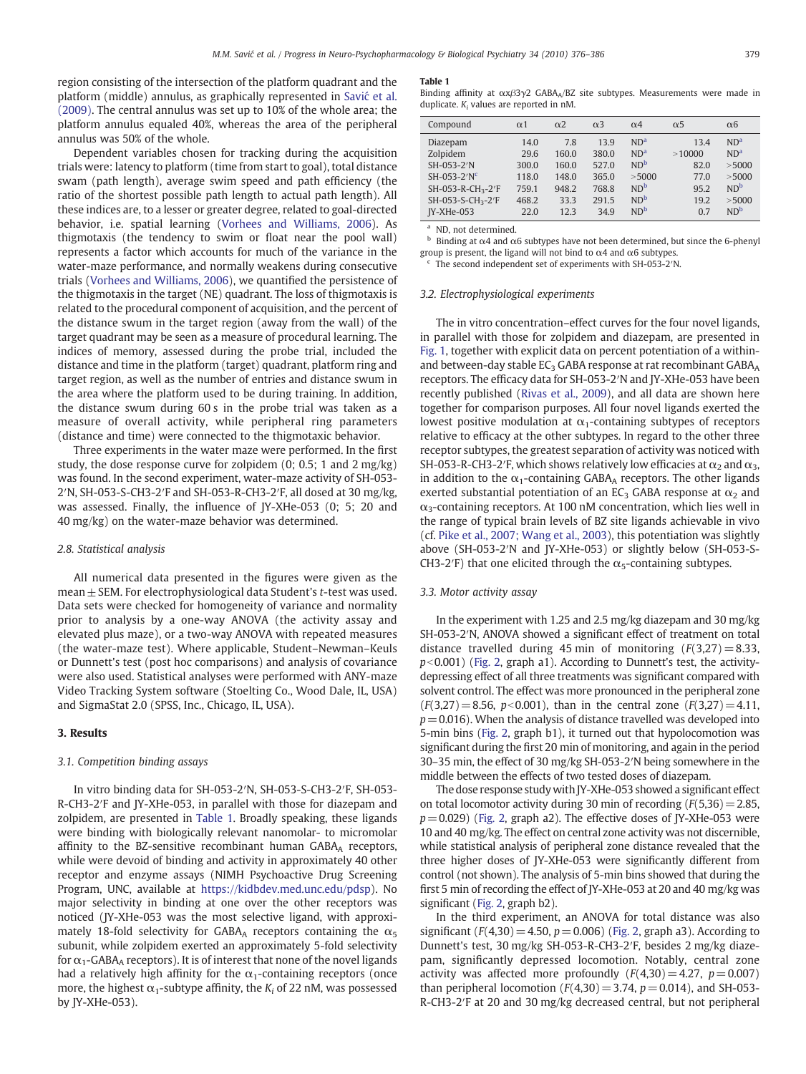region consisting of the intersection of the platform quadrant and the platform (middle) annulus, as graphically represented in Savić [et al.](#page-10-0) [\(2009\).](#page-10-0) The central annulus was set up to 10% of the whole area; the platform annulus equaled 40%, whereas the area of the peripheral annulus was 50% of the whole.

Dependent variables chosen for tracking during the acquisition trials were: latency to platform (time from start to goal), total distance swam (path length), average swim speed and path efficiency (the ratio of the shortest possible path length to actual path length). All these indices are, to a lesser or greater degree, related to goal-directed behavior, i.e. spatial learning ([Vorhees and Williams, 2006\)](#page-10-0). As thigmotaxis (the tendency to swim or float near the pool wall) represents a factor which accounts for much of the variance in the water-maze performance, and normally weakens during consecutive trials ([Vorhees and Williams, 2006\)](#page-10-0), we quantified the persistence of the thigmotaxis in the target (NE) quadrant. The loss of thigmotaxis is related to the procedural component of acquisition, and the percent of the distance swum in the target region (away from the wall) of the target quadrant may be seen as a measure of procedural learning. The indices of memory, assessed during the probe trial, included the distance and time in the platform (target) quadrant, platform ring and target region, as well as the number of entries and distance swum in the area where the platform used to be during training. In addition, the distance swum during 60 s in the probe trial was taken as a measure of overall activity, while peripheral ring parameters (distance and time) were connected to the thigmotaxic behavior.

Three experiments in the water maze were performed. In the first study, the dose response curve for zolpidem (0; 0.5; 1 and 2 mg/kg) was found. In the second experiment, water-maze activity of SH-053- 2′N, SH-053-S-CH3-2′F and SH-053-R-CH3-2′F, all dosed at 30 mg/kg, was assessed. Finally, the influence of JY-XHe-053 (0; 5; 20 and 40 mg/kg) on the water-maze behavior was determined.

#### 2.8. Statistical analysis

All numerical data presented in the figures were given as the mean  $\pm$  SEM. For electrophysiological data Student's t-test was used. Data sets were checked for homogeneity of variance and normality prior to analysis by a one-way ANOVA (the activity assay and elevated plus maze), or a two-way ANOVA with repeated measures (the water-maze test). Where applicable, Student–Newman–Keuls or Dunnett's test (post hoc comparisons) and analysis of covariance were also used. Statistical analyses were performed with ANY-maze Video Tracking System software (Stoelting Co., Wood Dale, IL, USA) and SigmaStat 2.0 (SPSS, Inc., Chicago, IL, USA).

# 3. Results

### 3.1. Competition binding assays

In vitro binding data for SH-053-2′N, SH-053-S-CH3-2′F, SH-053- R-CH3-2′F and JY-XHe-053, in parallel with those for diazepam and zolpidem, are presented in Table 1. Broadly speaking, these ligands were binding with biologically relevant nanomolar- to micromolar affinity to the BZ-sensitive recombinant human GABAA receptors, while were devoid of binding and activity in approximately 40 other receptor and enzyme assays (NIMH Psychoactive Drug Screening Program, UNC, available at [https://kidbdev.med.unc.edu/pdsp\)](https://kidbdev.med.unc.edu/pdsp). No major selectivity in binding at one over the other receptors was noticed (JY-XHe-053 was the most selective ligand, with approximately 18-fold selectivity for GABAA receptors containing the  $\alpha_5$ subunit, while zolpidem exerted an approximately 5-fold selectivity for  $\alpha_1$ -GABA<sub>A</sub> receptors). It is of interest that none of the novel ligands had a relatively high affinity for the  $\alpha_1$ -containing receptors (once more, the highest  $\alpha_1$ -subtype affinity, the  $K_i$  of 22 nM, was possessed by JY-XHe-053).

#### Table 1

Binding affinity at  $\alpha$ xβ3γ2 GABA<sub>A</sub>/BZ site subtypes. Measurements were made in duplicate.  $K_i$  values are reported in nM.

| Compound                      | $\alpha$ 1 | $\alpha$ <sub>2</sub> | $\alpha$ <sup>3</sup> | $\alpha$ 4      | $\alpha$ <sub>5</sub> | $\alpha$ <sup>6</sup> |
|-------------------------------|------------|-----------------------|-----------------------|-----------------|-----------------------|-----------------------|
| Diazepam                      | 14.0       | 7.8                   | 13.9                  | ND <sup>a</sup> | 13.4                  | ND <sup>a</sup>       |
| Zolpidem                      | 29.6       | 160.0                 | 380.0                 | ND <sup>a</sup> | >10000                | ND <sup>a</sup>       |
| SH-053-2'N                    | 300.0      | 160.0                 | 527.0                 | ND <sup>b</sup> | 82.0                  | > 5000                |
| $SH-053-2'Nc$                 | 118.0      | 148.0                 | 365.0                 | >5000           | 77.0                  | > 5000                |
| SH-053-R-CH <sub>3</sub> -2'F | 759.1      | 948.2                 | 768.8                 | ND <sup>b</sup> | 95.2                  | ND <sup>b</sup>       |
| SH-053-S-CH <sub>3</sub> -2'F | 468.2      | 33.3                  | 291.5                 | ND <sup>b</sup> | 19.2                  | > 5000                |
| $IY-XHe-053$                  | 22.0       | 12.3                  | 34.9                  | ND <sup>b</sup> | 0.7                   | ND <sup>b</sup>       |

<sup>a</sup> ND, not determined.

Binding at  $\alpha$ 4 and  $\alpha$ 6 subtypes have not been determined, but since the 6-phenyl group is present, the ligand will not bind to  $\alpha$ 4 and  $\alpha$ 6 subtypes.

The second independent set of experiments with SH-053-2′N.

#### 3.2. Electrophysiological experiments

The in vitro concentration–effect curves for the four novel ligands, in parallel with those for zolpidem and diazepam, are presented in [Fig. 1](#page-4-0), together with explicit data on percent potentiation of a withinand between-day stable  $EC_3$  GABA response at rat recombinant GABA $_A$ receptors. The efficacy data for SH-053-2′N and JY-XHe-053 have been recently published [\(Rivas et al., 2009](#page-10-0)), and all data are shown here together for comparison purposes. All four novel ligands exerted the lowest positive modulation at  $\alpha_1$ -containing subtypes of receptors relative to efficacy at the other subtypes. In regard to the other three receptor subtypes, the greatest separation of activity was noticed with SH-053-R-CH3-2′F, which shows relatively low efficacies at  $\alpha_2$  and  $\alpha_3$ , in addition to the  $\alpha_1$ -containing GABA<sub>A</sub> receptors. The other ligands exerted substantial potentiation of an EC<sub>3</sub> GABA response at  $\alpha_2$  and  $\alpha_3$ -containing receptors. At 100 nM concentration, which lies well in the range of typical brain levels of BZ site ligands achievable in vivo (cf. [Pike et al., 2007; Wang et al., 2003\)](#page-10-0), this potentiation was slightly above (SH-053-2′N and JY-XHe-053) or slightly below (SH-053-S-CH3-2<sup></sup>F) that one elicited through the  $\alpha$ <sub>5</sub>-containing subtypes.

# 3.3. Motor activity assay

In the experiment with 1.25 and 2.5 mg/kg diazepam and 30 mg/kg SH-053-2′N, ANOVA showed a significant effect of treatment on total distance travelled during 45 min of monitoring  $(F(3,27)=8.33,$  $p<0.001$ ) [\(Fig. 2,](#page-5-0) graph a1). According to Dunnett's test, the activitydepressing effect of all three treatments was significant compared with solvent control. The effect was more pronounced in the peripheral zone  $(F(3,27)=8.56, p<0.001)$ , than in the central zone  $(F(3,27)=4.11,$  $p=0.016$ ). When the analysis of distance travelled was developed into 5-min bins [\(Fig. 2](#page-5-0), graph b1), it turned out that hypolocomotion was significant during the first 20 min of monitoring, and again in the period 30–35 min, the effect of 30 mg/kg SH-053-2′N being somewhere in the middle between the effects of two tested doses of diazepam.

The dose response study with JY-XHe-053 showed a significant effect on total locomotor activity during 30 min of recording  $(F(5,36)=2.85,$  $p=0.029$ ) ([Fig. 2](#page-5-0), graph a2). The effective doses of JY-XHe-053 were 10 and 40 mg/kg. The effect on central zone activity was not discernible, while statistical analysis of peripheral zone distance revealed that the three higher doses of JY-XHe-053 were significantly different from control (not shown). The analysis of 5-min bins showed that during the first 5 min of recording the effect of JY-XHe-053 at 20 and 40 mg/kg was significant ([Fig. 2](#page-5-0), graph b2).

In the third experiment, an ANOVA for total distance was also significant ( $F(4,30) = 4.50$ ,  $p = 0.006$ ) ([Fig. 2](#page-5-0), graph a3). According to Dunnett's test, 30 mg/kg SH-053-R-CH3-2′F, besides 2 mg/kg diazepam, significantly depressed locomotion. Notably, central zone activity was affected more profoundly  $(F(4,30) = 4.27, p = 0.007)$ than peripheral locomotion ( $F(4,30) = 3.74$ ,  $p = 0.014$ ), and SH-053-R-CH3-2′F at 20 and 30 mg/kg decreased central, but not peripheral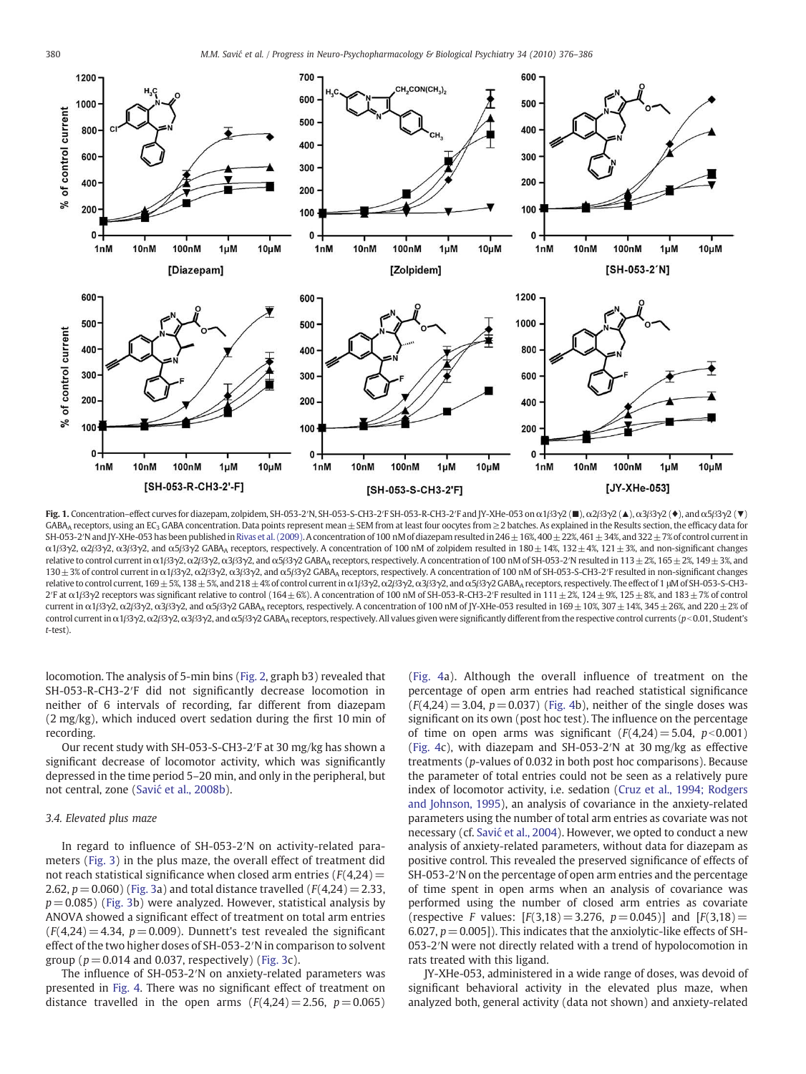<span id="page-4-0"></span>

Fig. 1. Concentration–effect curves for diazepam, zolpidem, SH-053-2′N, SH-053-S-CH3-2′F SH-053-R-CH3-2′F and JY-XHe-053 on α1β3γ2 (■), α2β3γ2 (▲), α3β3γ2 (♦), and α5β3γ2 (▼) GABA<sub>A</sub> receptors, using an EC<sub>3</sub> GABA concentration. Data points represent mean ± SEM from at least four oocytes from ≥2 batches. As explained in the Results section, the efficacy data for SH-053-2′N and JY-XHe-053 has been published in [Rivas et al. \(2009\).](#page-10-0) A concentration of 100 nM of diazepam resulted in 246  $\pm$  16%, 400  $\pm$  22%, 461 $\pm$ 34%, and 322 $\pm$ 7% of control current in  $α1β3γ2, α2β3γ2, α3β3γ2, and α5β3γ2 GABA<sub>A</sub> receptors, respectively. A concentration of 100 nM of zolpidem resulted in 180 ± 14%, 132 ± 4%, 121 ± 3%, and non-significant changes$ relative to control current in α1β3γ2, α2β3γ2, α3β3γ2, and α5β3γ2 GABAA receptors, respectively. A concentration of 100 nM of SH-053-2′N resulted in 113 ± 2%, 165 ± 2%, 149 ± 3%, and 130±3% of control current in α1β3γ2, α2β3γ2, α3β3γ2, and α5β3γ2 GABAA receptors, respectively. A concentration of 100 nM of SH-053-S-CH3-2′F resulted in non-significant changes relative to control current, 169 ± 5%, 138 ± 5%, and 218 ± 4% of control current in α1β3γ2, α2β3γ2, α3β3γ2, and α5β3γ2 GABAA receptors, respectively. The effect of 1 μM of SH-053-S-CH3-2′F at α1β3γ2 receptors was significant relative to control (164±6%). A concentration of 100 nM of SH-053-R-CH3-2′F resulted in 111±2%, 124±9%, 125±8%, and 183±7% of control current in α1β3γ2, α2β3γ2, α3β3γ2, and α5β3γ2 GABA receptors, respectively. A concentration of 100 nM of JY-XHe-053 resulted in 169  $\pm$  10%, 307  $\pm$  14%, 345  $\pm$  26%, and 220 $\pm$ 2% of control current in α1β3γ2, α2β3γ2, α3β3γ2, and α5β3γ2 GABAA receptors, respectively. All values given were significantly different from the respective control currents (p<0.01, Student's t-test).

locomotion. The analysis of 5-min bins ([Fig. 2](#page-5-0), graph b3) revealed that SH-053-R-CH3-2′F did not significantly decrease locomotion in neither of 6 intervals of recording, far different from diazepam (2 mg/kg), which induced overt sedation during the first 10 min of recording.

Our recent study with SH-053-S-CH3-2′F at 30 mg/kg has shown a significant decrease of locomotor activity, which was significantly depressed in the time period 5–20 min, and only in the peripheral, but not central, zone (Savić [et al., 2008b](#page-10-0)).

#### 3.4. Elevated plus maze

In regard to influence of SH-053-2′N on activity-related parameters ([Fig. 3](#page-6-0)) in the plus maze, the overall effect of treatment did not reach statistical significance when closed arm entries ( $F(4,24)=$ 2.62,  $p = 0.060$ ) ([Fig. 3](#page-6-0)a) and total distance travelled ( $F(4,24) = 2.33$ ,  $p = 0.085$ ) [\(Fig. 3](#page-6-0)b) were analyzed. However, statistical analysis by ANOVA showed a significant effect of treatment on total arm entries  $(F(4,24) = 4.34, p = 0.009)$ . Dunnett's test revealed the significant effect of the two higher doses of SH-053-2′N in comparison to solvent group ( $p = 0.014$  and 0.037, respectively) [\(Fig. 3c](#page-6-0)).

The influence of SH-053-2′N on anxiety-related parameters was presented in [Fig. 4](#page-6-0). There was no significant effect of treatment on distance travelled in the open arms  $(F(4,24)=2.56, p=0.065)$  [\(Fig. 4](#page-6-0)a). Although the overall influence of treatment on the percentage of open arm entries had reached statistical significance  $(F(4,24)= 3.04, p= 0.037)$  ([Fig. 4](#page-6-0)b), neither of the single doses was significant on its own (post hoc test). The influence on the percentage of time on open arms was significant  $(F(4,24)= 5.04, p<0.001)$ [\(Fig. 4c](#page-6-0)), with diazepam and SH-053-2′N at 30 mg/kg as effective treatments (p-values of 0.032 in both post hoc comparisons). Because the parameter of total entries could not be seen as a relatively pure index of locomotor activity, i.e. sedation [\(Cruz et al., 1994; Rodgers](#page-10-0) [and Johnson, 1995](#page-10-0)), an analysis of covariance in the anxiety-related parameters using the number of total arm entries as covariate was not necessary (cf. Savić [et al., 2004\)](#page-10-0). However, we opted to conduct a new analysis of anxiety-related parameters, without data for diazepam as positive control. This revealed the preserved significance of effects of SH-053-2′N on the percentage of open arm entries and the percentage of time spent in open arms when an analysis of covariance was performed using the number of closed arm entries as covariate (respective F values:  $[F(3,18) = 3.276, p = 0.045]$  and  $[F(3,18) =$ 6.027,  $p = 0.005$ ]). This indicates that the anxiolytic-like effects of SH-053-2′N were not directly related with a trend of hypolocomotion in rats treated with this ligand.

JY-XHe-053, administered in a wide range of doses, was devoid of significant behavioral activity in the elevated plus maze, when analyzed both, general activity (data not shown) and anxiety-related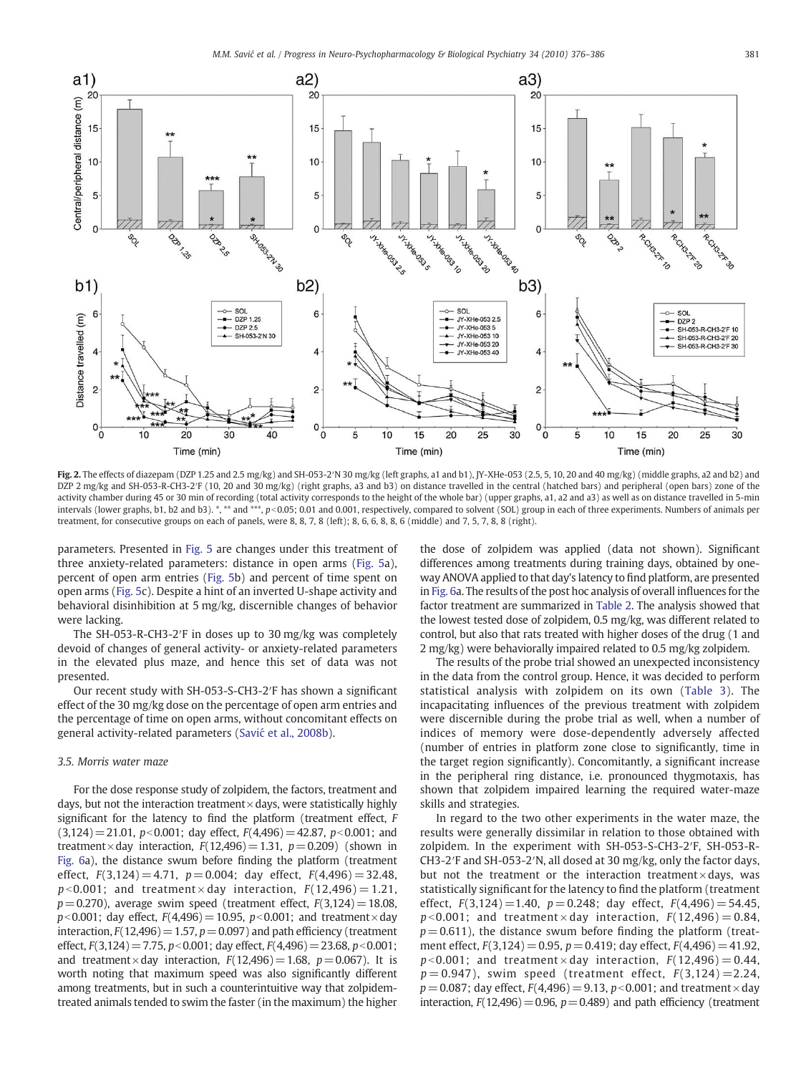<span id="page-5-0"></span>

Fig. 2. The effects of diazepam (DZP 1.25 and 2.5 mg/kg) and SH-053-2′N 30 mg/kg (left graphs, a1 and b1), JY-XHe-053 (2.5, 5, 10, 20 and 40 mg/kg) (middle graphs, a2 and b2) and DZP 2 mg/kg and SH-053-R-CH3-2′F (10, 20 and 30 mg/kg) (right graphs, a3 and b3) on distance travelled in the central (hatched bars) and peripheral (open bars) zone of the activity chamber during 45 or 30 min of recording (total activity corresponds to the height of the whole bar) (upper graphs, a1, a2 and a3) as well as on distance travelled in 5-min intervals (lower graphs, b1, b2 and b3). \*, \*\* and \*\*\*, p<0.05; 0.01 and 0.001, respectively, compared to solvent (SOL) group in each of three experiments. Numbers of animals per treatment, for consecutive groups on each of panels, were 8, 8, 7, 8 (left); 8, 6, 6, 8, 8, 6 (middle) and 7, 5, 7, 8, 8 (right).

parameters. Presented in [Fig. 5](#page-7-0) are changes under this treatment of three anxiety-related parameters: distance in open arms ([Fig. 5](#page-7-0)a), percent of open arm entries [\(Fig. 5](#page-7-0)b) and percent of time spent on open arms ([Fig. 5c](#page-7-0)). Despite a hint of an inverted U-shape activity and behavioral disinhibition at 5 mg/kg, discernible changes of behavior were lacking.

The SH-053-R-CH3-2′F in doses up to 30 mg/kg was completely devoid of changes of general activity- or anxiety-related parameters in the elevated plus maze, and hence this set of data was not presented.

Our recent study with SH-053-S-CH3-2′F has shown a significant effect of the 30 mg/kg dose on the percentage of open arm entries and the percentage of time on open arms, without concomitant effects on general activity-related parameters (Savić [et al., 2008b\)](#page-10-0).

# 3.5. Morris water maze

For the dose response study of zolpidem, the factors, treatment and days, but not the interaction treatment $\times$ days, were statistically highly significant for the latency to find the platform (treatment effect, F  $(3,124)=21.01$ ,  $p<0.001$ ; day effect,  $F(4,496)=42.87$ ,  $p<0.001$ ; and treatment×day interaction,  $F(12,496)=1.31$ ,  $p=0.209$ ) (shown in [Fig. 6a](#page-7-0)), the distance swum before finding the platform (treatment effect,  $F(3,124) = 4.71$ ,  $p = 0.004$ ; day effect,  $F(4,496) = 32.48$ ,  $p$ <0.001; and treatment × day interaction,  $F(12,496) = 1.21$ ,  $p=0.270$ ), average swim speed (treatment effect,  $F(3,124)=18.08$ ,  $p<0.001$ ; day effect,  $F(4,496)=10.95$ ,  $p<0.001$ ; and treatment×day interaction,  $F(12,496)=1.57$ ,  $p=0.097$ ) and path efficiency (treatment effect,  $F(3,124) = 7.75$ ,  $p < 0.001$ ; day effect,  $F(4,496) = 23.68$ ,  $p < 0.001$ ; and treatment×day interaction,  $F(12,496)=1.68$ ,  $p=0.067$ ). It is worth noting that maximum speed was also significantly different among treatments, but in such a counterintuitive way that zolpidemtreated animals tended to swim the faster (in the maximum) the higher the dose of zolpidem was applied (data not shown). Significant differences among treatments during training days, obtained by oneway ANOVA applied to that day's latency to find platform, are presented in [Fig. 6](#page-7-0)a. The results of the post hoc analysis of overall influences for the factor treatment are summarized in [Table 2.](#page-7-0) The analysis showed that the lowest tested dose of zolpidem, 0.5 mg/kg, was different related to control, but also that rats treated with higher doses of the drug (1 and 2 mg/kg) were behaviorally impaired related to 0.5 mg/kg zolpidem.

The results of the probe trial showed an unexpected inconsistency in the data from the control group. Hence, it was decided to perform statistical analysis with zolpidem on its own [\(Table 3\)](#page-8-0). The incapacitating influences of the previous treatment with zolpidem were discernible during the probe trial as well, when a number of indices of memory were dose-dependently adversely affected (number of entries in platform zone close to significantly, time in the target region significantly). Concomitantly, a significant increase in the peripheral ring distance, i.e. pronounced thygmotaxis, has shown that zolpidem impaired learning the required water-maze skills and strategies.

In regard to the two other experiments in the water maze, the results were generally dissimilar in relation to those obtained with zolpidem. In the experiment with SH-053-S-CH3-2′F, SH-053-R-CH3-2′F and SH-053-2′N, all dosed at 30 mg/kg, only the factor days, but not the treatment or the interaction treatment $\times$  days, was statistically significant for the latency to find the platform (treatment effect,  $F(3,124) = 1.40$ ,  $p = 0.248$ ; day effect,  $F(4,496) = 54.45$ ,  $p$ <0.001; and treatment × day interaction,  $F(12,496)= 0.84$ ,  $p = 0.611$ ), the distance swum before finding the platform (treatment effect,  $F(3,124) = 0.95$ ,  $p = 0.419$ ; day effect,  $F(4,496) = 41.92$ ,  $p$ <0.001; and treatment × day interaction,  $F(12,496)= 0.44$ ,  $p = 0.947$ ), swim speed (treatment effect,  $F(3,124) = 2.24$ ,  $p = 0.087$ ; day effect,  $F(4,496) = 9.13$ ,  $p < 0.001$ ; and treatment  $\times$  day interaction,  $F(12,496)=0.96$ ,  $p=0.489$ ) and path efficiency (treatment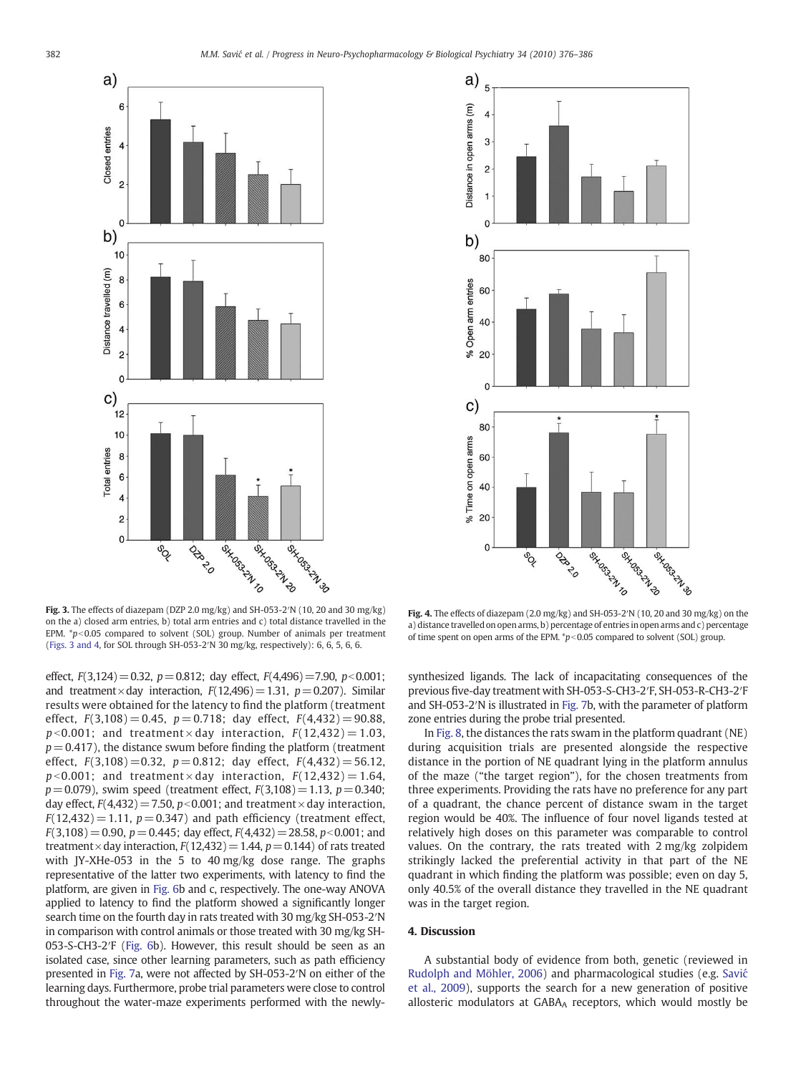<span id="page-6-0"></span>



Fig. 3. The effects of diazepam (DZP 2.0 mg/kg) and SH-053-2′N (10, 20 and 30 mg/kg) on the a) closed arm entries, b) total arm entries and c) total distance travelled in the EPM.  $*p<0.05$  compared to solvent (SOL) group. Number of animals per treatment (Figs. 3 and 4, for SOL through SH-053-2′N 30 mg/kg, respectively): 6, 6, 5, 6, 6.

effect,  $F(3,124)=0.32$ ,  $p=0.812$ ; day effect,  $F(4,496)=7.90$ ,  $p<0.001$ ; and treatment×day interaction,  $F(12,496)=1.31$ ,  $p=0.207$ ). Similar results were obtained for the latency to find the platform (treatment effect,  $F(3,108) = 0.45$ ,  $p = 0.718$ ; day effect,  $F(4,432) = 90.88$ ,  $p$ <0.001; and treatment × day interaction,  $F(12,432)=1.03$ ,  $p = 0.417$ ), the distance swum before finding the platform (treatment effect,  $F(3,108) = 0.32$ ,  $p = 0.812$ ; day effect,  $F(4,432) = 56.12$ ,  $p$ <0.001; and treatment × day interaction,  $F(12,432)= 1.64$ ,  $p=0.079$ ), swim speed (treatment effect,  $F(3,108)=1.13$ ,  $p=0.340$ ; day effect,  $F(4,432)=7.50$ ,  $p<0.001$ ; and treatment  $\times$  day interaction,  $F(12,432) = 1.11$ ,  $p = 0.347$ ) and path efficiency (treatment effect,  $F(3,108)= 0.90$ ,  $p= 0.445$ ; day effect,  $F(4,432)=28.58$ ,  $p<0.001$ ; and treatment  $\times$  day interaction,  $F(12,432)=1.44$ ,  $p=0.144$ ) of rats treated with JY-XHe-053 in the 5 to 40 mg/kg dose range. The graphs representative of the latter two experiments, with latency to find the platform, are given in [Fig. 6](#page-7-0)b and c, respectively. The one-way ANOVA applied to latency to find the platform showed a significantly longer search time on the fourth day in rats treated with 30 mg/kg SH-053-2′N in comparison with control animals or those treated with 30 mg/kg SH-053-S-CH3-2′F [\(Fig. 6](#page-7-0)b). However, this result should be seen as an isolated case, since other learning parameters, such as path efficiency presented in [Fig. 7a](#page-8-0), were not affected by SH-053-2′N on either of the learning days. Furthermore, probe trial parameters were close to control throughout the water-maze experiments performed with the newly-

Fig. 4. The effects of diazepam (2.0 mg/kg) and SH-053-2′N (10, 20 and 30 mg/kg) on the a) distance travelled on open arms, b) percentage of entries in open arms and c) percentage of time spent on open arms of the EPM.  $\sp{*}p<0.05$  compared to solvent (SOL) group.

synthesized ligands. The lack of incapacitating consequences of the previous five-day treatment with SH-053-S-CH3-2′F, SH-053-R-CH3-2′F and SH-053-2′N is illustrated in [Fig. 7b](#page-8-0), with the parameter of platform zone entries during the probe trial presented.

In [Fig. 8](#page-9-0), the distances the rats swam in the platform quadrant (NE) during acquisition trials are presented alongside the respective distance in the portion of NE quadrant lying in the platform annulus of the maze ("the target region"), for the chosen treatments from three experiments. Providing the rats have no preference for any part of a quadrant, the chance percent of distance swam in the target region would be 40%. The influence of four novel ligands tested at relatively high doses on this parameter was comparable to control values. On the contrary, the rats treated with 2 mg/kg zolpidem strikingly lacked the preferential activity in that part of the NE quadrant in which finding the platform was possible; even on day 5, only 40.5% of the overall distance they travelled in the NE quadrant was in the target region.

# 4. Discussion

A substantial body of evidence from both, genetic (reviewed in [Rudolph and Möhler, 2006](#page-10-0)) and pharmacological studies (e.g. [Savi](#page-10-0)ć [et al., 2009](#page-10-0)), supports the search for a new generation of positive allosteric modulators at GABAA receptors, which would mostly be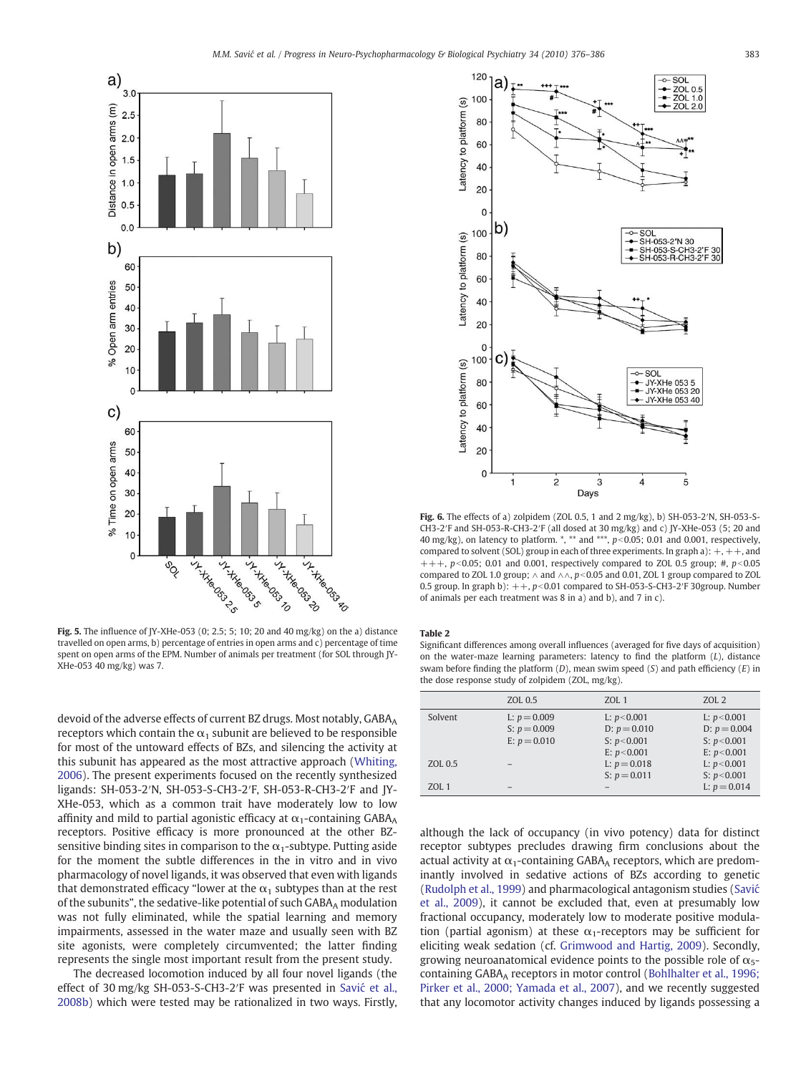<span id="page-7-0"></span>

Fig. 5. The influence of JY-XHe-053 (0; 2.5; 5; 10; 20 and 40 mg/kg) on the a) distance travelled on open arms, b) percentage of entries in open arms and c) percentage of time spent on open arms of the EPM. Number of animals per treatment (for SOL through JY-XHe-053 40 mg/kg) was 7.

devoid of the adverse effects of current BZ drugs. Most notably, GABAA receptors which contain the  $\alpha_1$  subunit are believed to be responsible for most of the untoward effects of BZs, and silencing the activity at this subunit has appeared as the most attractive approach [\(Whiting,](#page-10-0) [2006\)](#page-10-0). The present experiments focused on the recently synthesized ligands: SH-053-2′N, SH-053-S-CH3-2′F, SH-053-R-CH3-2′F and JY-XHe-053, which as a common trait have moderately low to low affinity and mild to partial agonistic efficacy at  $\alpha_1$ -containing GABA<sub>A</sub> receptors. Positive efficacy is more pronounced at the other BZsensitive binding sites in comparison to the  $\alpha_1$ -subtype. Putting aside for the moment the subtle differences in the in vitro and in vivo pharmacology of novel ligands, it was observed that even with ligands that demonstrated efficacy "lower at the  $\alpha_1$  subtypes than at the rest of the subunits", the sedative-like potential of such GABAA modulation was not fully eliminated, while the spatial learning and memory impairments, assessed in the water maze and usually seen with BZ site agonists, were completely circumvented; the latter finding represents the single most important result from the present study.

The decreased locomotion induced by all four novel ligands (the effect of 30 mg/kg SH-053-S-CH3-2′F was presented in Savić [et al.,](#page-10-0) [2008b](#page-10-0)) which were tested may be rationalized in two ways. Firstly,



Fig. 6. The effects of a) zolpidem (ZOL 0.5, 1 and 2 mg/kg), b) SH-053-2′N, SH-053-S-CH3-2′F and SH-053-R-CH3-2′F (all dosed at 30 mg/kg) and c) JY-XHe-053 (5; 20 and 40 mg/kg), on latency to platform.  $*$ ,  $*$  and  $**$ ,  $p<0.05$ ; 0.01 and 0.001, respectively, compared to solvent (SOL) group in each of three experiments. In graph a):  $+, +$ , and  $+++$ , p<0.05; 0.01 and 0.001, respectively compared to ZOL 0.5 group; #, p<0.05 compared to ZOL 1.0 group;  $\land$  and  $\land\land$ ,  $p<0.05$  and 0.01, ZOL 1 group compared to ZOL 0.5 group. In graph b):  $++$ ,  $p<0.01$  compared to SH-053-S-CH3-2′F 30group. Number of animals per each treatment was 8 in a) and b), and 7 in c).

#### Table 2

Significant differences among overall influences (averaged for five days of acquisition) on the water-maze learning parameters: latency to find the platform  $(L)$ , distance swam before finding the platform  $(D)$ , mean swim speed  $(S)$  and path efficiency  $(E)$  in the dose response study of zolpidem (ZOL, mg/kg).

|         | ZOL 0.5                          | ZOL 1                            | ZOL 2                            |
|---------|----------------------------------|----------------------------------|----------------------------------|
| Solvent | L: $p = 0.009$<br>S: $p = 0.009$ | L: $p < 0.001$<br>D: $p = 0.010$ | L: $p < 0.001$<br>$D: p = 0.004$ |
|         | E: $p = 0.010$                   | S: $p < 0.001$                   | S: $p < 0.001$                   |
|         |                                  | E: $p < 0.001$                   | E: $p < 0.001$                   |
| ZOL 0.5 |                                  | L: $p = 0.018$                   | L: $p < 0.001$                   |
|         |                                  | S: $p = 0.011$                   | S: $p < 0.001$                   |
| ZOL 1   |                                  |                                  | L: $p = 0.014$                   |
|         |                                  |                                  |                                  |

although the lack of occupancy (in vivo potency) data for distinct receptor subtypes precludes drawing firm conclusions about the actual activity at  $\alpha_1$ -containing GABA<sub>A</sub> receptors, which are predominantly involved in sedative actions of BZs according to genetic [\(Rudolph et al., 1999](#page-10-0)) and pharmacological antagonism studies ([Savi](#page-10-0)ć [et al., 2009](#page-10-0)), it cannot be excluded that, even at presumably low fractional occupancy, moderately low to moderate positive modulation (partial agonism) at these  $\alpha_1$ -receptors may be sufficient for eliciting weak sedation (cf. [Grimwood and Hartig, 2009\)](#page-10-0). Secondly, growing neuroanatomical evidence points to the possible role of  $\alpha_{5}$ -containing GABAA receptors in motor control [\(Bohlhalter et al., 1996;](#page-10-0) [Pirker et al., 2000; Yamada et al., 2007\)](#page-10-0), and we recently suggested that any locomotor activity changes induced by ligands possessing a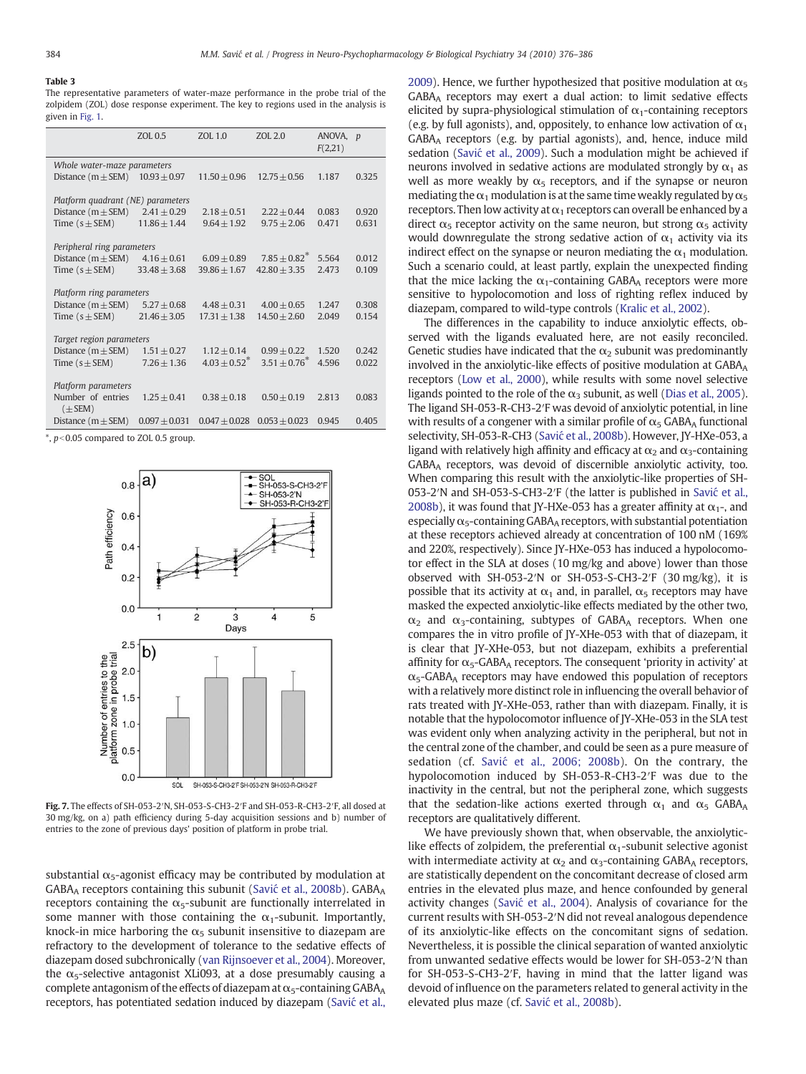#### <span id="page-8-0"></span>Table 3

The representative parameters of water-maze performance in the probe trial of the zolpidem (ZOL) dose response experiment. The key to regions used in the analysis is given in [Fig. 1.](#page-4-0)

|                                   | ZOL 0.5          | ZOL 1.0         | ZOL 2.0         | ANOVA,<br>F(2,21) | $\boldsymbol{p}$ |  |  |  |  |
|-----------------------------------|------------------|-----------------|-----------------|-------------------|------------------|--|--|--|--|
| Whole water-maze parameters       |                  |                 |                 |                   |                  |  |  |  |  |
| Distance $(m \pm SEM)$            | $10.93 + 0.97$   | $11.50 + 0.96$  | $12.75 + 0.56$  | 1.187             | 0.325            |  |  |  |  |
|                                   |                  |                 |                 |                   |                  |  |  |  |  |
| Platform quadrant (NE) parameters |                  |                 |                 |                   |                  |  |  |  |  |
| Distance $(m \pm SEM)$            | $2.41 + 0.29$    | $2.18 + 0.51$   | $2.22 + 0.44$   | 0.083             | 0.920            |  |  |  |  |
| Time $(s \pm SEM)$                | $11.86 + 1.44$   | $9.64 + 1.92$   | $9.75 + 2.06$   | 0.471             | 0.631            |  |  |  |  |
|                                   |                  |                 |                 |                   |                  |  |  |  |  |
| Peripheral ring parameters        |                  |                 |                 |                   |                  |  |  |  |  |
| Distance $(m \pm SEM)$            | $4.16 + 0.61$    | $6.09 + 0.89$   | $7.85 + 0.82^*$ | 5.564             | 0.012            |  |  |  |  |
| Time $(s \pm SEM)$                | $33.48 \pm 3.68$ | $39.86 + 1.67$  | $42.80 + 3.35$  | 2.473             | 0.109            |  |  |  |  |
|                                   |                  |                 |                 |                   |                  |  |  |  |  |
| Platform ring parameters          |                  |                 |                 |                   |                  |  |  |  |  |
| Distance $(m \pm SEM)$            | $5.27 + 0.68$    | $4.48 + 0.31$   | $4.00 \pm 0.65$ | 1.247             | 0.308            |  |  |  |  |
| Time $(s \pm SEM)$                | $21.46 + 3.05$   | $17.31 + 1.38$  | $14.50 + 2.60$  | 2.049             | 0.154            |  |  |  |  |
|                                   |                  |                 |                 |                   |                  |  |  |  |  |
| Target region parameters          |                  |                 |                 |                   |                  |  |  |  |  |
| Distance $(m \pm SEM)$            | $1.51 + 0.27$    | $1.12 + 0.14$   | $0.99 + 0.22$   | 1.520             | 0.242            |  |  |  |  |
| Time $(s \pm SEM)$                | $7.26 + 1.36$    | $4.03 + 0.52^*$ | $3.51 + 0.76^*$ | 4.596             | 0.022            |  |  |  |  |
|                                   |                  |                 |                 |                   |                  |  |  |  |  |
| Platform parameters               |                  |                 |                 |                   |                  |  |  |  |  |
| Number of entries                 | $1.25 + 0.41$    | $0.38 + 0.18$   | $0.50 + 0.19$   | 2.813             | 0.083            |  |  |  |  |
| $(\pm$ SEM)                       |                  |                 |                 |                   |                  |  |  |  |  |
| Distance $(m \pm SEM)$            | $0.097 + 0.031$  | $0.047 + 0.028$ | $0.053 + 0.023$ | 0.945             | 0.405            |  |  |  |  |

 $*$ ,  $p<0.05$  compared to ZOL 0.5 group.



Fig. 7. The effects of SH-053-2′N, SH-053-S-CH3-2′F and SH-053-R-CH3-2′F, all dosed at 30 mg/kg, on a) path efficiency during 5-day acquisition sessions and b) number of entries to the zone of previous days' position of platform in probe trial.

substantial  $\alpha_5$ -agonist efficacy may be contributed by modulation at GABA<sub>A</sub> receptors containing this subunit (Savić [et al., 2008b\)](#page-10-0). GABA<sub>A</sub> receptors containing the  $\alpha_5$ -subunit are functionally interrelated in some manner with those containing the  $\alpha_1$ -subunit. Importantly, knock-in mice harboring the  $\alpha_5$  subunit insensitive to diazepam are refractory to the development of tolerance to the sedative effects of diazepam dosed subchronically ([van Rijnsoever et al., 2004](#page-10-0)). Moreover, the  $\alpha$ <sub>5</sub>-selective antagonist XLi093, at a dose presumably causing a complete antagonism of the effects of diazepam at  $\alpha_5$ -containing GABA<sub>A</sub> receptors, has potentiated sedation induced by diazepam (Savić [et al.,](#page-10-0) [2009\)](#page-10-0). Hence, we further hypothesized that positive modulation at  $\alpha_5$ GABAA receptors may exert a dual action: to limit sedative effects elicited by supra-physiological stimulation of  $\alpha_1$ -containing receptors (e.g. by full agonists), and, oppositely, to enhance low activation of  $\alpha_1$ GABAA receptors (e.g. by partial agonists), and, hence, induce mild sedation (Savić [et al., 2009](#page-10-0)). Such a modulation might be achieved if neurons involved in sedative actions are modulated strongly by  $\alpha_1$  as well as more weakly by  $\alpha_5$  receptors, and if the synapse or neuron mediating the  $\alpha_1$  modulation is at the same time weakly regulated by  $\alpha_5$ receptors. Then low activity at  $\alpha_1$  receptors can overall be enhanced by a direct  $\alpha_5$  receptor activity on the same neuron, but strong  $\alpha_5$  activity would downregulate the strong sedative action of  $\alpha_1$  activity via its indirect effect on the synapse or neuron mediating the  $\alpha_1$  modulation. Such a scenario could, at least partly, explain the unexpected finding that the mice lacking the  $\alpha_1$ -containing GABA<sub>A</sub> receptors were more sensitive to hypolocomotion and loss of righting reflex induced by diazepam, compared to wild-type controls [\(Kralic et al., 2002](#page-10-0)).

The differences in the capability to induce anxiolytic effects, observed with the ligands evaluated here, are not easily reconciled. Genetic studies have indicated that the  $\alpha_2$  subunit was predominantly involved in the anxiolytic-like effects of positive modulation at GABAA receptors [\(Low et al., 2000\)](#page-10-0), while results with some novel selective ligands pointed to the role of the  $\alpha_3$  subunit, as well ([Dias et al., 2005\)](#page-10-0). The ligand SH-053-R-CH3-2′F was devoid of anxiolytic potential, in line with results of a congener with a similar profile of  $\alpha_5$  GABAA functional selectivity, SH-053-R-CH3 (Savić [et al., 2008b\)](#page-10-0). However, JY-HXe-053, a ligand with relatively high affinity and efficacy at  $\alpha_2$  and  $\alpha_3$ -containing GABAA receptors, was devoid of discernible anxiolytic activity, too. When comparing this result with the anxiolytic-like properties of SH-053-2′N and SH-053-S-CH3-2′F (the latter is published in Savić [et al.,](#page-10-0) [2008b](#page-10-0)), it was found that JY-HXe-053 has a greater affinity at  $\alpha_1$ -, and especially  $\alpha_5$ -containing GABAA receptors, with substantial potentiation at these receptors achieved already at concentration of 100 nM (169% and 220%, respectively). Since JY-HXe-053 has induced a hypolocomotor effect in the SLA at doses (10 mg/kg and above) lower than those observed with SH-053-2′N or SH-053-S-CH3-2′F (30 mg/kg), it is possible that its activity at  $\alpha_1$  and, in parallel,  $\alpha_5$  receptors may have masked the expected anxiolytic-like effects mediated by the other two,  $\alpha_2$  and  $\alpha_3$ -containing, subtypes of GABA<sub>A</sub> receptors. When one compares the in vitro profile of JY-XHe-053 with that of diazepam, it is clear that JY-XHe-053, but not diazepam, exhibits a preferential affinity for  $\alpha_5$ -GABA<sub>A</sub> receptors. The consequent 'priority in activity' at  $\alpha$ <sub>5</sub>-GABA<sub>A</sub> receptors may have endowed this population of receptors with a relatively more distinct role in influencing the overall behavior of rats treated with JY-XHe-053, rather than with diazepam. Finally, it is notable that the hypolocomotor influence of JY-XHe-053 in the SLA test was evident only when analyzing activity in the peripheral, but not in the central zone of the chamber, and could be seen as a pure measure of sedation (cf. Savić [et al., 2006; 2008b](#page-10-0)). On the contrary, the hypolocomotion induced by SH-053-R-CH3-2′F was due to the inactivity in the central, but not the peripheral zone, which suggests that the sedation-like actions exerted through  $\alpha_1$  and  $\alpha_5$  GABAA receptors are qualitatively different.

We have previously shown that, when observable, the anxiolyticlike effects of zolpidem, the preferential  $\alpha_1$ -subunit selective agonist with intermediate activity at  $\alpha_2$  and  $\alpha_3$ -containing GABA<sub>A</sub> receptors, are statistically dependent on the concomitant decrease of closed arm entries in the elevated plus maze, and hence confounded by general activity changes (Savić [et al., 2004](#page-10-0)). Analysis of covariance for the current results with SH-053-2′N did not reveal analogous dependence of its anxiolytic-like effects on the concomitant signs of sedation. Nevertheless, it is possible the clinical separation of wanted anxiolytic from unwanted sedative effects would be lower for SH-053-2′N than for SH-053-S-CH3-2′F, having in mind that the latter ligand was devoid of influence on the parameters related to general activity in the elevated plus maze (cf. Savić [et al., 2008b\)](#page-10-0).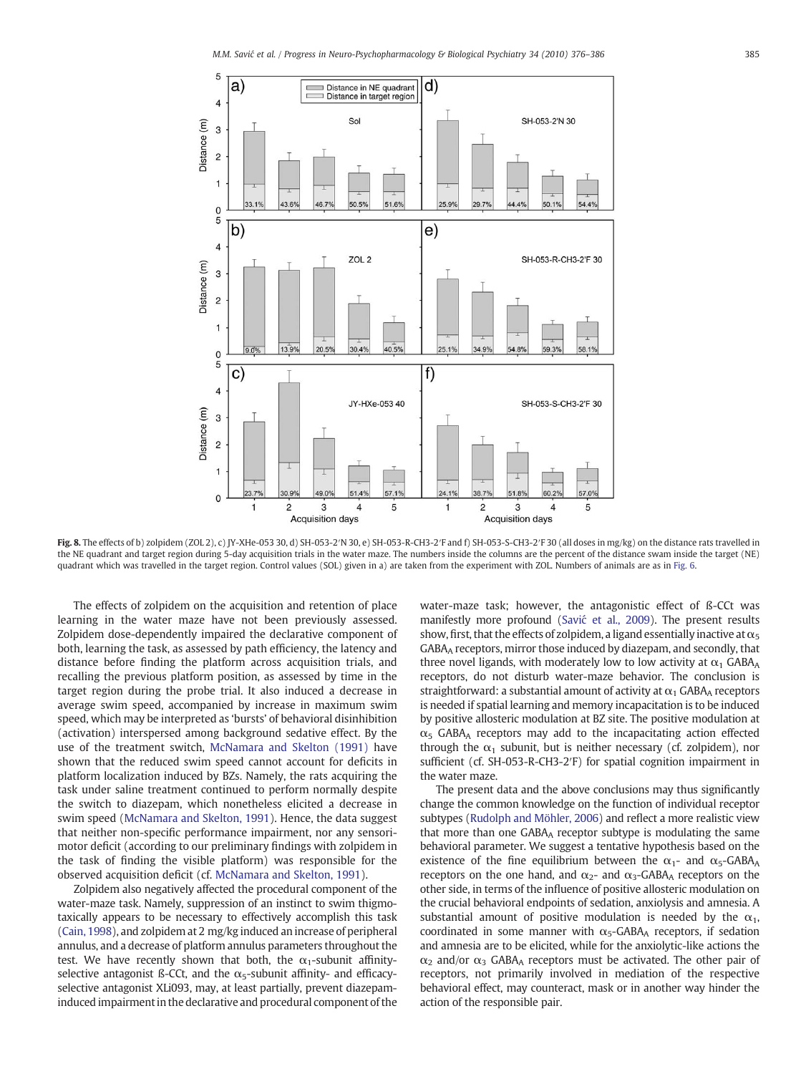<span id="page-9-0"></span>

Fig. 8. The effects of b) zolpidem (ZOL 2), c) JY-XHe-053 30, d) SH-053-2'N 30, e) SH-053-R-CH3-2'F and f) SH-053-S-CH3-2'F 30 (all doses in mg/kg) on the distance rats travelled in the NE quadrant and target region during 5-day acquisition trials in the water maze. The numbers inside the columns are the percent of the distance swam inside the target (NE) quadrant which was travelled in the target region. Control values (SOL) given in a) are taken from the experiment with ZOL. Numbers of animals are as in [Fig. 6.](#page-7-0)

The effects of zolpidem on the acquisition and retention of place learning in the water maze have not been previously assessed. Zolpidem dose-dependently impaired the declarative component of both, learning the task, as assessed by path efficiency, the latency and distance before finding the platform across acquisition trials, and recalling the previous platform position, as assessed by time in the target region during the probe trial. It also induced a decrease in average swim speed, accompanied by increase in maximum swim speed, which may be interpreted as 'bursts' of behavioral disinhibition (activation) interspersed among background sedative effect. By the use of the treatment switch, [McNamara and Skelton \(1991\)](#page-10-0) have shown that the reduced swim speed cannot account for deficits in platform localization induced by BZs. Namely, the rats acquiring the task under saline treatment continued to perform normally despite the switch to diazepam, which nonetheless elicited a decrease in swim speed ([McNamara and Skelton, 1991](#page-10-0)). Hence, the data suggest that neither non-specific performance impairment, nor any sensorimotor deficit (according to our preliminary findings with zolpidem in the task of finding the visible platform) was responsible for the observed acquisition deficit (cf. [McNamara and Skelton, 1991\)](#page-10-0).

Zolpidem also negatively affected the procedural component of the water-maze task. Namely, suppression of an instinct to swim thigmotaxically appears to be necessary to effectively accomplish this task [\(Cain, 1998\)](#page-10-0), and zolpidem at 2 mg/kg induced an increase of peripheral annulus, and a decrease of platform annulus parameters throughout the test. We have recently shown that both, the  $\alpha_1$ -subunit affinityselective antagonist ß-CCt, and the  $\alpha$ <sub>5</sub>-subunit affinity- and efficacyselective antagonist XLi093, may, at least partially, prevent diazepaminduced impairment in the declarative and procedural component of the water-maze task; however, the antagonistic effect of ß-CCt was manifestly more profound (Savić [et al., 2009](#page-10-0)). The present results show, first, that the effects of zolpidem, a ligand essentially inactive at  $\alpha_5$ GABAA receptors, mirror those induced by diazepam, and secondly, that three novel ligands, with moderately low to low activity at  $\alpha_1$  GABAA receptors, do not disturb water-maze behavior. The conclusion is straightforward: a substantial amount of activity at  $\alpha_1$  GABAA receptors is needed if spatial learning and memory incapacitation is to be induced by positive allosteric modulation at BZ site. The positive modulation at  $\alpha$ <sub>5</sub> GABA<sub>A</sub> receptors may add to the incapacitating action effected through the  $\alpha_1$  subunit, but is neither necessary (cf. zolpidem), nor sufficient (cf. SH-053-R-CH3-2′F) for spatial cognition impairment in the water maze.

The present data and the above conclusions may thus significantly change the common knowledge on the function of individual receptor subtypes ([Rudolph and Möhler, 2006](#page-10-0)) and reflect a more realistic view that more than one GABAA receptor subtype is modulating the same behavioral parameter. We suggest a tentative hypothesis based on the existence of the fine equilibrium between the  $\alpha_1$ - and  $\alpha_5$ -GABA<sub>A</sub> receptors on the one hand, and  $\alpha_2$ - and  $\alpha_3$ -GABA<sub>A</sub> receptors on the other side, in terms of the influence of positive allosteric modulation on the crucial behavioral endpoints of sedation, anxiolysis and amnesia. A substantial amount of positive modulation is needed by the  $\alpha_1$ , coordinated in some manner with  $\alpha$ <sub>5</sub>-GABA<sub>A</sub> receptors, if sedation and amnesia are to be elicited, while for the anxiolytic-like actions the  $\alpha_2$  and/or  $\alpha_3$  GABA<sub>A</sub> receptors must be activated. The other pair of receptors, not primarily involved in mediation of the respective behavioral effect, may counteract, mask or in another way hinder the action of the responsible pair.